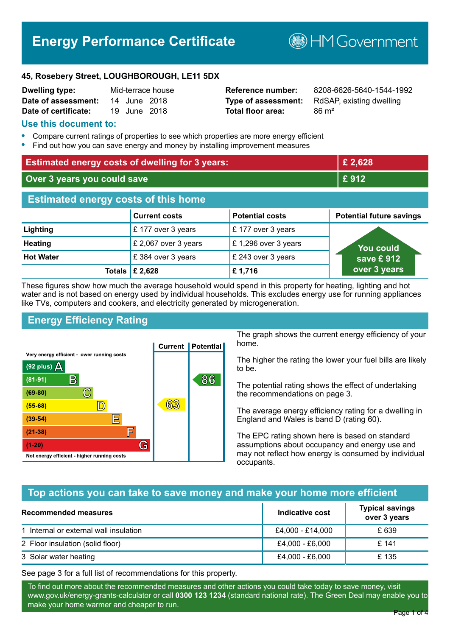# **Energy Performance Certificate**

**B**HM Government

#### **45, Rosebery Street, LOUGHBOROUGH, LE11 5DX**

| <b>Dwelling type:</b> |              | Mid-terrace house |
|-----------------------|--------------|-------------------|
| Date of assessment:   | 14 June 2018 |                   |
| Date of certificate:  | 19 June 2018 |                   |

# **Total floor area:** 86 m<sup>2</sup>

**Reference number:** 8208-6626-5640-1544-1992 **Type of assessment:** RdSAP, existing dwelling

#### **Use this document to:**

- **•** Compare current ratings of properties to see which properties are more energy efficient
- **•** Find out how you can save energy and money by installing improvement measures

| <b>Estimated energy costs of dwelling for 3 years:</b> |                           |                        | £ 2,628                         |
|--------------------------------------------------------|---------------------------|------------------------|---------------------------------|
| Over 3 years you could save                            |                           | £912                   |                                 |
| <b>Estimated energy costs of this home</b>             |                           |                        |                                 |
|                                                        | <b>Current costs</b>      | <b>Potential costs</b> | <b>Potential future savings</b> |
| Lighting                                               | £177 over 3 years         | £177 over 3 years      |                                 |
| <b>Heating</b>                                         | £ 2,067 over 3 years      | £1,296 over 3 years    | <b>You could</b>                |
| <b>Hot Water</b>                                       | £ 384 over 3 years        | £ 243 over 3 years     | save £ 912                      |
|                                                        | Totals $\mathsf{E}$ 2,628 | £1,716                 | over 3 years                    |

These figures show how much the average household would spend in this property for heating, lighting and hot water and is not based on energy used by individual households. This excludes energy use for running appliances like TVs, computers and cookers, and electricity generated by microgeneration.

# **Energy Efficiency Rating**



The graph shows the current energy efficiency of your home.

The higher the rating the lower your fuel bills are likely to be.

The potential rating shows the effect of undertaking the recommendations on page 3.

The average energy efficiency rating for a dwelling in England and Wales is band D (rating 60).

The EPC rating shown here is based on standard assumptions about occupancy and energy use and may not reflect how energy is consumed by individual occupants.

# **Top actions you can take to save money and make your home more efficient**

| Recommended measures                   | Indicative cost  | <b>Typical savings</b><br>over 3 years |
|----------------------------------------|------------------|----------------------------------------|
| 1 Internal or external wall insulation | £4,000 - £14,000 | £ 639                                  |
| 2 Floor insulation (solid floor)       | £4,000 - £6,000  | £ 141                                  |
| 3 Solar water heating                  | £4,000 - £6,000  | £135                                   |

See page 3 for a full list of recommendations for this property.

To find out more about the recommended measures and other actions you could take today to save money, visit www.gov.uk/energy-grants-calculator or call **0300 123 1234** (standard national rate). The Green Deal may enable you to make your home warmer and cheaper to run.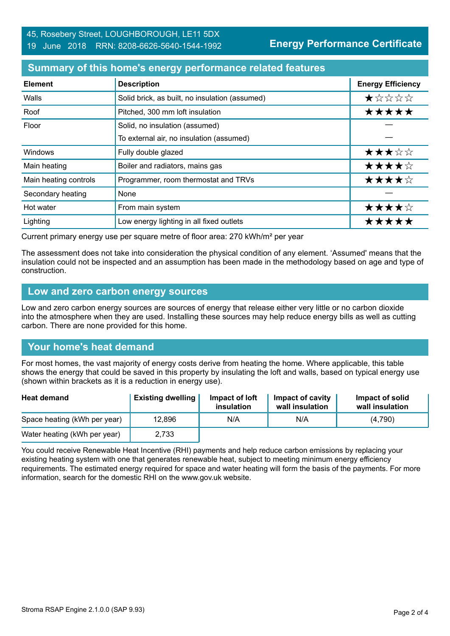#### **Summary of this home's energy performance related features**

| <b>Element</b>        | <b>Description</b>                             | <b>Energy Efficiency</b> |
|-----------------------|------------------------------------------------|--------------------------|
| Walls                 | Solid brick, as built, no insulation (assumed) | *****                    |
| Roof                  | Pitched, 300 mm loft insulation                | *****                    |
| Floor                 | Solid, no insulation (assumed)                 |                          |
|                       | To external air, no insulation (assumed)       |                          |
| Windows               | Fully double glazed                            | ★★★☆☆                    |
| Main heating          | Boiler and radiators, mains gas                | ★★★★☆                    |
| Main heating controls | Programmer, room thermostat and TRVs           | ★★★★☆                    |
| Secondary heating     | None                                           |                          |
| Hot water             | From main system                               | ★★★★☆                    |
| Lighting              | Low energy lighting in all fixed outlets       | *****                    |

Current primary energy use per square metre of floor area: 270 kWh/m² per year

The assessment does not take into consideration the physical condition of any element. 'Assumed' means that the insulation could not be inspected and an assumption has been made in the methodology based on age and type of construction.

#### **Low and zero carbon energy sources**

Low and zero carbon energy sources are sources of energy that release either very little or no carbon dioxide into the atmosphere when they are used. Installing these sources may help reduce energy bills as well as cutting carbon. There are none provided for this home.

# **Your home's heat demand**

For most homes, the vast majority of energy costs derive from heating the home. Where applicable, this table shows the energy that could be saved in this property by insulating the loft and walls, based on typical energy use (shown within brackets as it is a reduction in energy use).

| <b>Heat demand</b>           | <b>Existing dwelling</b> | Impact of loft<br>insulation | <b>Impact of cavity</b><br>wall insulation | Impact of solid<br>wall insulation |
|------------------------------|--------------------------|------------------------------|--------------------------------------------|------------------------------------|
| Space heating (kWh per year) | 12,896                   | N/A                          | N/A                                        | (4.790)                            |
| Water heating (kWh per year) | 2,733                    |                              |                                            |                                    |

You could receive Renewable Heat Incentive (RHI) payments and help reduce carbon emissions by replacing your existing heating system with one that generates renewable heat, subject to meeting minimum energy efficiency requirements. The estimated energy required for space and water heating will form the basis of the payments. For more information, search for the domestic RHI on the www.gov.uk website.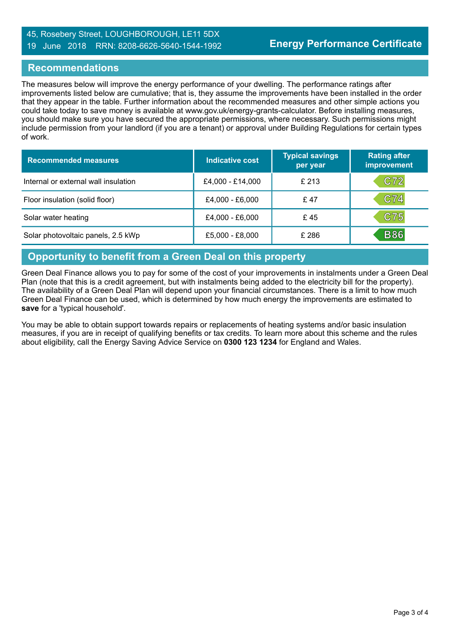#### 45, Rosebery Street, LOUGHBOROUGH, LE11 5DX 19 June 2018 RRN: 8208-6626-5640-1544-1992

#### **Recommendations**

The measures below will improve the energy performance of your dwelling. The performance ratings after improvements listed below are cumulative; that is, they assume the improvements have been installed in the order that they appear in the table. Further information about the recommended measures and other simple actions you could take today to save money is available at www.gov.uk/energy-grants-calculator. Before installing measures, you should make sure you have secured the appropriate permissions, where necessary. Such permissions might include permission from your landlord (if you are a tenant) or approval under Building Regulations for certain types of work.

| <b>Recommended measures</b>          | Indicative cost  | <b>Typical savings</b><br>per year | <b>Rating after</b><br>improvement |
|--------------------------------------|------------------|------------------------------------|------------------------------------|
| Internal or external wall insulation | £4,000 - £14,000 | £ 213                              | C72                                |
| Floor insulation (solid floor)       | £4,000 - £6,000  | £ 47                               | C74                                |
| Solar water heating                  | £4,000 - £6,000  | £45                                | C75                                |
| Solar photovoltaic panels, 2.5 kWp   | £5,000 - £8,000  | £ 286                              | <b>B86</b>                         |

# **Opportunity to benefit from a Green Deal on this property**

Green Deal Finance allows you to pay for some of the cost of your improvements in instalments under a Green Deal Plan (note that this is a credit agreement, but with instalments being added to the electricity bill for the property). The availability of a Green Deal Plan will depend upon your financial circumstances. There is a limit to how much Green Deal Finance can be used, which is determined by how much energy the improvements are estimated to **save** for a 'typical household'.

You may be able to obtain support towards repairs or replacements of heating systems and/or basic insulation measures, if you are in receipt of qualifying benefits or tax credits. To learn more about this scheme and the rules about eligibility, call the Energy Saving Advice Service on **0300 123 1234** for England and Wales.